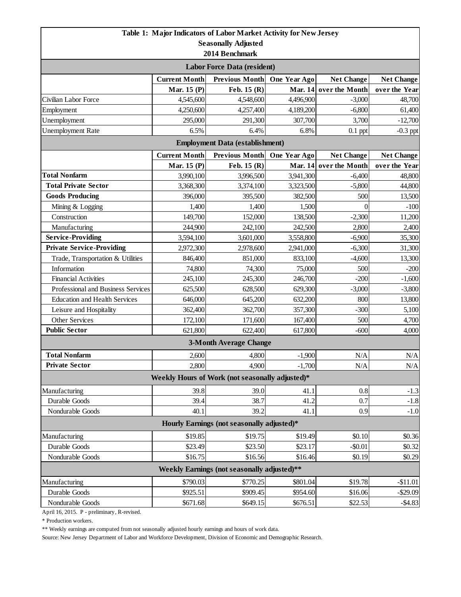|                                      |                      | Table 1: Major Indicators of Labor Market Activity for New Jersey |              |                        |                   |  |  |
|--------------------------------------|----------------------|-------------------------------------------------------------------|--------------|------------------------|-------------------|--|--|
|                                      |                      | <b>Seasonally Adjusted</b>                                        |              |                        |                   |  |  |
|                                      |                      | 2014 Benchmark                                                    |              |                        |                   |  |  |
| <b>Labor Force Data (resident)</b>   |                      |                                                                   |              |                        |                   |  |  |
|                                      | <b>Current Month</b> | <b>Previous Month</b>                                             | One Year Ago | <b>Net Change</b>      | <b>Net Change</b> |  |  |
|                                      | Mar. 15 (P)          | Feb. $15(R)$                                                      |              | Mar. 14 over the Month | over the Year     |  |  |
| Civilian Labor Force                 | 4,545,600            | 4,548,600                                                         | 4,496,900    | $-3,000$               | 48,700            |  |  |
| Employment                           | 4,250,600            | 4,257,400                                                         | 4,189,200    | $-6,800$               | 61,400            |  |  |
| Unemployment                         | 295,000              | 291,300                                                           | 307,700      | 3,700                  | $-12,700$         |  |  |
| <b>Unemployment Rate</b>             | 6.5%                 | 6.4%                                                              | 6.8%         | $0.1$ ppt              | $-0.3$ ppt        |  |  |
|                                      |                      | <b>Employment Data (establishment)</b>                            |              |                        |                   |  |  |
|                                      | <b>Current Month</b> | <b>Previous Month</b>                                             | One Year Ago | <b>Net Change</b>      | <b>Net Change</b> |  |  |
|                                      | Mar. 15 (P)          | Feb. $15(R)$                                                      |              | Mar. 14 over the Month | over the Year     |  |  |
| <b>Total Nonfarm</b>                 | 3,990,100            | 3,996,500                                                         | 3,941,300    | $-6,400$               | 48,800            |  |  |
| <b>Total Private Sector</b>          | 3,368,300            | 3,374,100                                                         | 3,323,500    | $-5,800$               | 44,800            |  |  |
| <b>Goods Producing</b>               | 396,000              | 395,500                                                           | 382,500      | 500                    | 13,500            |  |  |
| Mining & Logging                     | 1,400                | 1,400                                                             | 1,500        | $\overline{0}$         | $-100$            |  |  |
| Construction                         | 149,700              | 152,000                                                           | 138,500      | $-2,300$               | 11,200            |  |  |
| Manufacturing                        | 244,900              | 242,100                                                           | 242,500      | 2,800                  | 2,400             |  |  |
| <b>Service-Providing</b>             | 3,594,100            | 3,601,000                                                         | 3,558,800    | $-6,900$               | 35,300            |  |  |
| <b>Private Service-Providing</b>     | 2,972,300            | 2,978,600                                                         | 2,941,000    | $-6,300$               | 31,300            |  |  |
| Trade, Transportation & Utilities    | 846,400              | 851,000                                                           | 833,100      | $-4,600$               | 13,300            |  |  |
| Information                          | 74,800               | 74,300                                                            | 75,000       | 500                    | $-200$            |  |  |
| <b>Financial Activities</b>          | 245,100              | 245,300                                                           | 246,700      | $-200$                 | $-1,600$          |  |  |
| Professional and Business Services   | 625,500              | 628,500                                                           | 629,300      | $-3,000$               | $-3,800$          |  |  |
| <b>Education and Health Services</b> | 646,000              | 645,200                                                           | 632,200      | 800                    | 13,800            |  |  |
| Leisure and Hospitality              | 362,400              | 362,700                                                           | 357,300      | $-300$                 | 5,100             |  |  |
| Other Services                       | 172,100              | 171,600                                                           | 167,400      | 500                    | 4,700             |  |  |
| <b>Public Sector</b>                 | 621,800              | 622,400                                                           | 617,800      | $-600$                 | 4,000             |  |  |
|                                      |                      | <b>3-Month Average Change</b>                                     |              |                        |                   |  |  |
| <b>Total Nonfarm</b>                 | 2,600                | 4,800                                                             | $-1,900$     | N/A                    | $\rm N/A$         |  |  |
| <b>Private Sector</b>                | 2,800                | 4,900                                                             | $-1,700$     | N/A                    | $\rm N/A$         |  |  |
|                                      |                      | Weekly Hours of Work (not seasonally adjusted)*                   |              |                        |                   |  |  |
| Manufacturing                        | 39.8                 | 39.0                                                              | 41.1         | 0.8                    | $-1.3$            |  |  |
| Durable Goods                        | 39.4                 | 38.7                                                              | 41.2         | 0.7                    | $-1.8$            |  |  |
| Nondurable Goods                     | 40.1                 | 39.2                                                              | 41.1         | 0.9                    | $-1.0$            |  |  |
|                                      |                      | Hourly Earnings (not seasonally adjusted)*                        |              |                        |                   |  |  |
|                                      | \$19.85              | \$19.75                                                           | \$19.49      | \$0.10                 | \$0.36            |  |  |
| Manufacturing<br>Durable Goods       |                      | \$23.50                                                           | \$23.17      | $-$0.01$               | \$0.32            |  |  |
| Nondurable Goods                     | \$23.49<br>\$16.75   | \$16.56                                                           | \$16.46      | \$0.19                 | \$0.29            |  |  |
|                                      |                      | Weekly Earnings (not seasonally adjusted)**                       |              |                        |                   |  |  |
|                                      |                      |                                                                   |              |                        |                   |  |  |
| Manufacturing                        | \$790.03             | \$770.25                                                          | \$801.04     | \$19.78                | $-$11.01$         |  |  |
| Durable Goods                        | \$925.51             | \$909.45                                                          | \$954.60     | \$16.06                | $-$ \$29.09       |  |  |
| Nondurable Goods                     | \$671.68             | \$649.15                                                          | \$676.51     | \$22.53                | $-$ \$4.83        |  |  |

April 16, 2015. P - preliminary, R-revised.

\* Production workers.

\*\* Weekly earnings are computed from not seasonally adjusted hourly earnings and hours of work data.

Source: New Jersey Department of Labor and Workforce Development, Division of Economic and Demographic Research.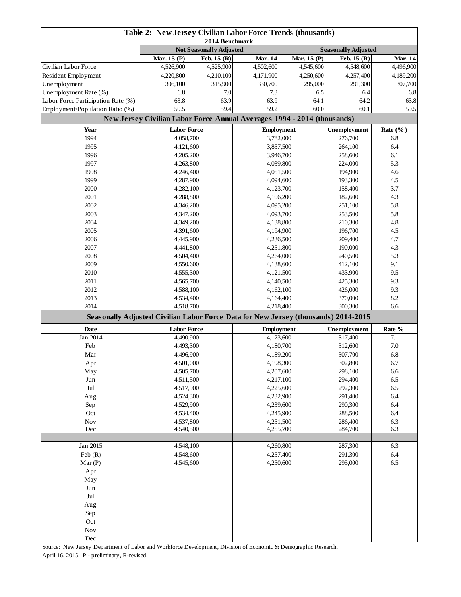| Table 2: New Jersey Civilian Labor Force Trends (thousands)<br>2014 Benchmark |                                                                         |             |                                                                                    |                            |                    |              |
|-------------------------------------------------------------------------------|-------------------------------------------------------------------------|-------------|------------------------------------------------------------------------------------|----------------------------|--------------------|--------------|
|                                                                               | <b>Not Seasonally Adjusted</b>                                          |             |                                                                                    | <b>Seasonally Adjusted</b> |                    |              |
|                                                                               | Mar. 15 (P)                                                             | Feb. 15 (R) | <b>Mar. 14</b>                                                                     | Mar. 15 (P)                | Feb. 15 (R)        | Mar. 14      |
| Civilian Labor Force                                                          | 4,526,900                                                               | 4,525,900   | 4,502,600                                                                          | 4,545,600                  | 4,548,600          | 4,496,900    |
| Resident Employment                                                           | 4,220,800                                                               | 4,210,100   | 4,171,900                                                                          | 4,250,600                  | 4,257,400          | 4,189,200    |
| Unemployment                                                                  | 306,100                                                                 | 315,900     | 330,700                                                                            | 295,000                    | 291,300            | 307,700      |
| Unemployment Rate (%)                                                         | 6.8                                                                     | 7.0         | 7.3                                                                                | 6.5                        | 6.4                | 6.8          |
| Labor Force Participation Rate (%)                                            | 63.8                                                                    | 63.9        | 63.9                                                                               | 64.1                       | 64.2               | 63.8         |
| Employment/Population Ratio (%)                                               | 59.5                                                                    | 59.4        | 59.2                                                                               | 60.0                       | 60.1               | 59.5         |
|                                                                               | New Jersey Civilian Labor Force Annual Averages 1994 - 2014 (thousands) |             |                                                                                    |                            |                    |              |
| Year                                                                          | <b>Labor Force</b>                                                      |             |                                                                                    | <b>Employment</b>          |                    | Rate $(\%$ ) |
| 1994                                                                          | 4,058,700                                                               |             |                                                                                    | 3,782,000                  |                    | 6.8          |
| 1995                                                                          | 4,121,600                                                               |             |                                                                                    | 3,857,500                  |                    | 6.4          |
| 1996                                                                          | 4,205,200                                                               |             | 3,946,700                                                                          |                            | 258,600            | 6.1          |
| 1997                                                                          | 4,263,800                                                               |             | 4,039,800                                                                          |                            | 224,000            | 5.3          |
| 1998                                                                          | 4,246,400                                                               |             | 4,051,500                                                                          |                            | 194,900            | 4.6          |
| 1999                                                                          | 4,287,900                                                               |             | 4,094,600                                                                          |                            | 193,300            | 4.5          |
| 2000                                                                          | 4,282,100                                                               |             | 4,123,700                                                                          |                            | 158,400            | 3.7          |
| 2001                                                                          | 4,288,800                                                               |             | 4,106,200                                                                          |                            | 182,600            | 4.3          |
| 2002                                                                          | 4,346,200                                                               |             | 4,095,200                                                                          |                            | 251,100            | 5.8          |
| 2003                                                                          | 4,347,200                                                               |             | 4,093,700                                                                          |                            | 253,500            | 5.8          |
| 2004                                                                          | 4,349,200                                                               |             | 4,138,800                                                                          |                            | 210,300            | 4.8          |
| 2005                                                                          | 4,391,600                                                               |             | 4,194,900                                                                          |                            | 196,700            | 4.5          |
| 2006                                                                          | 4,445,900                                                               |             | 4,236,500                                                                          |                            | 209,400            | 4.7          |
| 2007                                                                          | 4,441,800                                                               |             |                                                                                    | 4,251,800                  |                    | 4.3          |
| 2008                                                                          | 4,504,400                                                               |             | 4,264,000                                                                          |                            | 190,000<br>240,500 | 5.3          |
| 2009                                                                          | 4,550,600                                                               |             | 4,138,600                                                                          |                            | 412,100            | 9.1          |
| 2010                                                                          | 4,555,300                                                               |             | 4,121,500                                                                          |                            | 433,900            | 9.5          |
| 2011                                                                          | 4,565,700                                                               |             | 4,140,500                                                                          |                            | 425,300            | 9.3          |
| 2012                                                                          | 4,588,100                                                               |             | 4,162,100                                                                          |                            | 426,000            | 9.3          |
| 2013                                                                          | 4,534,400                                                               |             | 4,164,400                                                                          |                            | 370,000            | 8.2          |
| 2014                                                                          | 4,518,700                                                               |             | 4,218,400                                                                          |                            | 300,300            | 6.6          |
|                                                                               |                                                                         |             | Seasonally Adjusted Civilian Labor Force Data for New Jersey (thousands) 2014-2015 |                            |                    |              |
| <b>Date</b>                                                                   | <b>Labor Force</b>                                                      |             |                                                                                    | <b>Employment</b>          |                    | Rate %       |
| Jan 2014                                                                      | 4,490,900                                                               |             |                                                                                    | 4,173,600                  |                    | 7.1          |
| Feb                                                                           | 4,493,300                                                               |             | 4,180,700                                                                          |                            | 312,600            | 7.0          |
| Mar                                                                           | 4,496,900                                                               |             | 4,189,200                                                                          |                            | 307,700            | 6.8          |
| Apr                                                                           | 4,501,000                                                               |             | 4,198,300                                                                          |                            | 302,800            | 6.7          |
| May                                                                           | 4,505,700                                                               |             | 4,207,600                                                                          |                            | 298,100            | 6.6          |
| Jun                                                                           | 4,511,500                                                               |             | 4,217,100                                                                          |                            | 294,400            | 6.5          |
| $_{\rm{Jul}}$                                                                 | 4,517,900                                                               |             | 4,225,600                                                                          |                            | 292,300            | 6.5          |
| Aug                                                                           | 4,524,300                                                               |             | 4,232,900                                                                          |                            | 291,400            | 6.4          |
| Sep                                                                           | 4,529,900                                                               |             | 4,239,600                                                                          |                            | 290,300            | 6.4          |
| Oct                                                                           | 4,534,400                                                               |             | 4,245,900                                                                          |                            | 288,500            | 6.4          |
| Nov                                                                           | 4,537,800                                                               |             | 4,251,500                                                                          |                            | 286,400            | 6.3          |
| Dec                                                                           | 4,540,500                                                               |             | 4,255,700                                                                          |                            | 284,700            | 6.3          |
|                                                                               |                                                                         |             |                                                                                    |                            |                    |              |
| Jan 2015                                                                      | 4,548,100                                                               |             | 4,260,800                                                                          |                            | 287,300            | 6.3          |
| Feb(R)                                                                        | 4,548,600                                                               |             | 4,257,400<br>4,250,600                                                             |                            | 291,300            | 6.4          |
| Mar(P)                                                                        | 4,545,600                                                               |             |                                                                                    |                            | 295,000            | 6.5          |
| Apr                                                                           |                                                                         |             |                                                                                    |                            |                    |              |
| May                                                                           |                                                                         |             |                                                                                    |                            |                    |              |
| Jun<br>$_{\rm{Jul}}$                                                          |                                                                         |             |                                                                                    |                            |                    |              |
|                                                                               |                                                                         |             |                                                                                    |                            |                    |              |
| Aug                                                                           |                                                                         |             |                                                                                    |                            |                    |              |
| Sep                                                                           |                                                                         |             |                                                                                    |                            |                    |              |
| Oct<br>Nov                                                                    |                                                                         |             |                                                                                    |                            |                    |              |
| $\rm Dec$                                                                     |                                                                         |             |                                                                                    |                            |                    |              |
|                                                                               |                                                                         |             |                                                                                    |                            |                    |              |

Source: New Jersey Department of Labor and Workforce Development, Division of Economic & Demographic Research. April 16, 2015. P - preliminary, R-revised.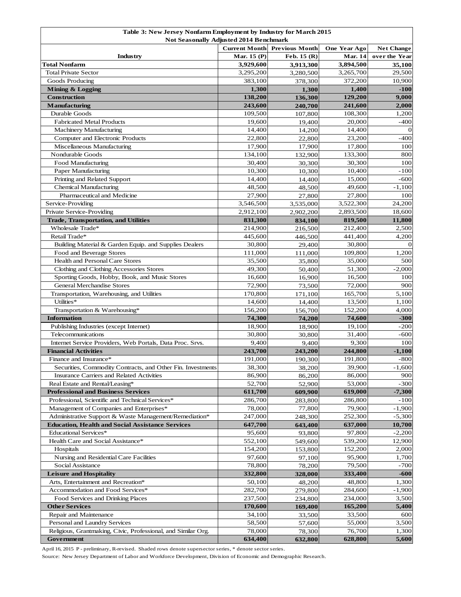| Table 3: New Jersey Nonfarm Employment by Industry for March 2015 |                      |                       |                     |                   |  |  |  |
|-------------------------------------------------------------------|----------------------|-----------------------|---------------------|-------------------|--|--|--|
| <b>Not Seasonally Adjusted 2014 Benchmark</b>                     |                      |                       |                     |                   |  |  |  |
|                                                                   | <b>Current Month</b> | <b>Previous Month</b> | <b>One Year Ago</b> | <b>Net Change</b> |  |  |  |
| Industry                                                          | Mar. 15 (P)          | Feb. $15(R)$          | <b>Mar. 14</b>      | over the Year     |  |  |  |
| <b>Total Nonfarm</b>                                              | 3,929,600            | 3,913,300             | 3,894,500           | 35,100            |  |  |  |
| <b>Total Private Sector</b>                                       | 3,295,200            | 3,280,500             | 3,265,700           | 29,500            |  |  |  |
| Goods Producing                                                   | 383,100              | 378,300               | 372,200             | 10,900            |  |  |  |
| <b>Mining &amp; Logging</b>                                       | 1,300                | 1,300                 | 1,400               | $-100$            |  |  |  |
| <b>Construction</b>                                               | 138,200              | 136,300               | 129,200             | 9,000             |  |  |  |
| Manufacturing<br>Durable Goods                                    | 243,600<br>109,500   | 240,700               | 241,600<br>108,300  | 2,000             |  |  |  |
| <b>Fabricated Metal Products</b>                                  | 19,600               | 107,800               | 20,000              | 1,200<br>$-400$   |  |  |  |
| <b>Machinery Manufacturing</b>                                    | 14,400               | 19,400                | 14,400              | $\Omega$          |  |  |  |
| Computer and Electronic Products                                  | 22,800               | 14,200                | 23,200              | $-400$            |  |  |  |
| Miscellaneous Manufacturing                                       | 17,900               | 22,800                | 17,800              | 100               |  |  |  |
| Nondurable Goods                                                  | 134,100              | 17,900<br>132,900     | 133,300             | 800               |  |  |  |
| Food Manufacturing                                                | 30,400               | 30,300                | 30,300              | 100               |  |  |  |
| Paper Manufacturing                                               | 10,300               | 10,300                | 10,400              | $-100$            |  |  |  |
| Printing and Related Support                                      | 14,400               | 14,400                | 15,000              | $-600$            |  |  |  |
| Chemical Manufacturing                                            | 48,500               | 48,500                | 49,600              | $-1,100$          |  |  |  |
| Pharmaceutical and Medicine                                       | 27,900               | 27,800                | 27,800              | 100               |  |  |  |
| Service-Providing                                                 | 3,546,500            | 3,535,000             | 3,522,300           | 24,200            |  |  |  |
| Private Service-Providing                                         | 2,912,100            | 2,902,200             | 2,893,500           | 18,600            |  |  |  |
| <b>Trade, Transportation, and Utilities</b>                       | 831,300              | 834,100               | 819,500             | 11,800            |  |  |  |
| Wholesale Trade*                                                  | 214,900              | 216,500               | 212,400             | 2,500             |  |  |  |
| Retail Trade*                                                     | 445,600              | 446,500               | 441,400             | 4,200             |  |  |  |
| Building Material & Garden Equip. and Supplies Dealers            | 30,800               | 29,400                | 30,800              | $\theta$          |  |  |  |
| Food and Beverage Stores                                          | 111,000              | 111,000               | 109,800             | 1,200             |  |  |  |
| Health and Personal Care Stores                                   | 35,500               | 35,800                | 35,000              | 500               |  |  |  |
| Clothing and Clothing Accessories Stores                          | 49,300               | 50,400                | 51,300              | $-2,000$          |  |  |  |
| Sporting Goods, Hobby, Book, and Music Stores                     | 16,600               | 16,900                | 16,500              | 100               |  |  |  |
| <b>General Merchandise Stores</b>                                 | 72,900               | 73,500                | 72,000              | 900               |  |  |  |
| Transportation, Warehousing, and Utilities                        | 170,800              | 171,100               | 165,700             | 5,100             |  |  |  |
| Utilities*                                                        | 14,600               | 14,400                | 13,500              | 1,100             |  |  |  |
| Transportation & Warehousing*                                     | 156,200              | 156,700               | 152,200             | 4,000             |  |  |  |
| <b>Information</b>                                                | 74,300               | 74,200                | 74,600              | $-300$            |  |  |  |
| Publishing Industries (except Internet)                           | 18,900               | 18,900                | 19,100              | $-200$            |  |  |  |
| Telecommunications                                                | 30,800               | 30,800                | 31,400              | $-600$            |  |  |  |
| Internet Service Providers, Web Portals, Data Proc. Srvs.         | 9,400                | 9,400                 | 9,300               | 100               |  |  |  |
| <b>Financial Activities</b>                                       | 243,700              | 243,200               | 244,800             | $-1,100$          |  |  |  |
| Finance and Insurance*                                            | 191,000              | 190,300               | 191,800             | $-800$            |  |  |  |
| Securities, Commodity Contracts, and Other Fin. Investments       | 38,300               | 38,200                | 39,900              | $-1,600$          |  |  |  |
| <b>Insurance Carriers and Related Activities</b>                  | 86,900               | 86,200                | 86,000              | 900               |  |  |  |
| Real Estate and Rental/Leasing*                                   | 52,700               | 52,900                | 53,000              | $-300$            |  |  |  |
| <b>Professional and Business Services</b>                         | 611,700              | 609,900               | 619,000             | $-7,300$          |  |  |  |
| Professional, Scientific and Technical Services*                  | 286,700              | 283,800               | 286,800             | $-100$            |  |  |  |
| Management of Companies and Enterprises*                          | 78,000               | 77,800                | 79,900              | $-1,900$          |  |  |  |
| Administrative Support & Waste Management/Remediation*            | 247,000              | 248,300               | 252,300             | $-5,300$          |  |  |  |
| <b>Education, Health and Social Assistance Services</b>           | 647,700              | 643,400               | 637,000             | 10,700            |  |  |  |
| Educational Services*                                             | 95,600               | 93,800                | 97,800              | $-2,200$          |  |  |  |
| Health Care and Social Assistance*                                | 552,100              | 549,600               | 539,200             | 12,900            |  |  |  |
| Hospitals                                                         | 154,200              | 153,800               | 152,200             | 2,000             |  |  |  |
| Nursing and Residential Care Facilities                           | 97,600               | 97,100                | 95,900              | 1,700             |  |  |  |
| Social Assistance                                                 | 78,800               | 78,200                | 79,500              | $-700$            |  |  |  |
| <b>Leisure and Hospitality</b>                                    | 332,800              | 328,000               | 333,400             | -600              |  |  |  |
| Arts, Entertainment and Recreation*                               | 50,100               | 48,200                | 48,800              | 1,300             |  |  |  |
| Accommodation and Food Services*                                  | 282,700              | 279,800               | 284,600             | $-1,900$          |  |  |  |
| Food Services and Drinking Places                                 | 237,500              | 234,800               | 234,000             | 3,500             |  |  |  |
| <b>Other Services</b>                                             | 170,600              | 169,400               | 165,200             | 5,400             |  |  |  |
| Repair and Maintenance                                            | 34,100               | 33,500                | 33,500              | 600               |  |  |  |
| Personal and Laundry Services                                     | 58,500               | 57,600                | 55,000              | 3,500             |  |  |  |
| Religious, Grantmaking, Civic, Professional, and Similar Org.     | 78,000               | 78,300                | 76,700              | 1,300             |  |  |  |
| Government                                                        | 634,400              | 632,800               | 628,800             | 5,600             |  |  |  |

April 16, 2015 P - preliminary, R-revised. Shaded rows denote supersector series, \* denote sector series.

Source: New Jersey Department of Labor and Workforce Development, Division of Economic and Demographic Research.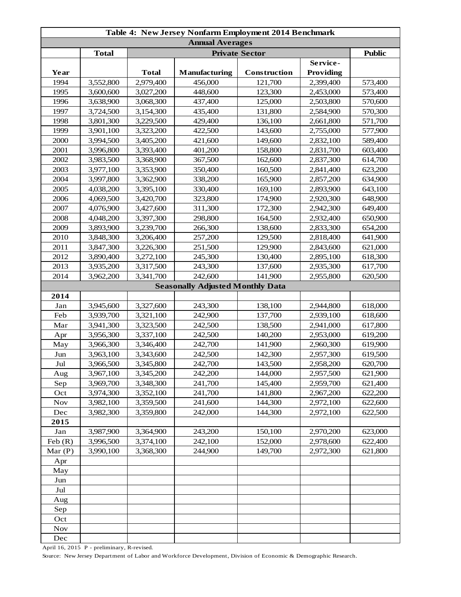| Table 4: New Jersey Nonfarm Employment 2014 Benchmark |              |              |                                         |              |                  |         |  |
|-------------------------------------------------------|--------------|--------------|-----------------------------------------|--------------|------------------|---------|--|
| <b>Annual Averages</b>                                |              |              |                                         |              |                  |         |  |
|                                                       | <b>Total</b> |              | <b>Public</b>                           |              |                  |         |  |
|                                                       |              |              |                                         |              | Service-         |         |  |
| Year                                                  |              | <b>Total</b> | <b>Manufacturing</b>                    | Construction | <b>Providing</b> |         |  |
| 1994                                                  | 3,552,800    | 2,979,400    | 456,000                                 | 121,700      | 2,399,400        | 573,400 |  |
| 1995                                                  | 3,600,600    | 3,027,200    | 448,600                                 | 123,300      | 2,453,000        | 573,400 |  |
| 1996                                                  | 3,638,900    | 3,068,300    | 437,400                                 | 125,000      | 2,503,800        | 570,600 |  |
| 1997                                                  | 3,724,500    | 3,154,300    | 435,400                                 | 131,800      | 2,584,900        | 570,300 |  |
| 1998                                                  | 3,801,300    | 3,229,500    | 429,400                                 | 136,100      | 2,661,800        | 571,700 |  |
| 1999                                                  | 3,901,100    | 3,323,200    | 422,500                                 | 143,600      | 2,755,000        | 577,900 |  |
| 2000                                                  | 3,994,500    | 3,405,200    | 421,600                                 | 149,600      | 2,832,100        | 589,400 |  |
| 2001                                                  | 3,996,800    | 3,393,400    | 401,200                                 | 158,800      | 2,831,700        | 603,400 |  |
| 2002                                                  | 3,983,500    | 3,368,900    | 367,500                                 | 162,600      | 2,837,300        | 614,700 |  |
| 2003                                                  | 3,977,100    | 3,353,900    | 350,400                                 | 160,500      | 2,841,400        | 623,200 |  |
| 2004                                                  | 3,997,800    | 3,362,900    | 338,200                                 | 165,900      | 2,857,200        | 634,900 |  |
| 2005                                                  | 4,038,200    | 3,395,100    | 330,400                                 | 169,100      | 2,893,900        | 643,100 |  |
| 2006                                                  | 4,069,500    | 3,420,700    | 323,800                                 | 174,900      | 2,920,300        | 648,900 |  |
| 2007                                                  | 4,076,900    | 3,427,600    | 311,300                                 | 172,300      | 2,942,300        | 649,400 |  |
| 2008                                                  | 4,048,200    | 3,397,300    | 298,800                                 | 164,500      | 2,932,400        | 650,900 |  |
| 2009                                                  | 3,893,900    | 3,239,700    | 266,300                                 | 138,600      | 2,833,300        | 654,200 |  |
| 2010                                                  | 3,848,300    | 3,206,400    | 257,200                                 | 129,500      | 2,818,400        | 641,900 |  |
| 2011                                                  | 3,847,300    | 3,226,300    | 251,500                                 | 129,900      | 2,843,600        | 621,000 |  |
| 2012                                                  | 3,890,400    | 3,272,100    | 245,300                                 | 130,400      | 2,895,100        | 618,300 |  |
| 2013                                                  | 3,935,200    | 3,317,500    | 243,300                                 | 137,600      | 2,935,300        | 617,700 |  |
| 2014                                                  | 3,962,200    | 3,341,700    | 242,600                                 | 141,900      | 2,955,800        | 620,500 |  |
|                                                       |              |              | <b>Seasonally Adjusted Monthly Data</b> |              |                  |         |  |
| 2014                                                  |              |              |                                         |              |                  |         |  |
| Jan                                                   | 3,945,600    | 3,327,600    | 243,300                                 | 138,100      | 2,944,800        | 618,000 |  |
| Feb                                                   | 3,939,700    | 3,321,100    | 242,900                                 | 137,700      | 2,939,100        | 618,600 |  |
| Mar                                                   | 3,941,300    | 3,323,500    | 242,500                                 | 138,500      | 2,941,000        | 617,800 |  |
| Apr                                                   | 3,956,300    | 3,337,100    | 242,500                                 | 140,200      | 2,953,000        | 619,200 |  |
| May                                                   | 3,966,300    | 3,346,400    | 242,700                                 | 141,900      | 2,960,300        | 619,900 |  |
| Jun                                                   | 3,963,100    | 3,343,600    | 242,500                                 | 142,300      | 2,957,300        | 619,500 |  |
| Jul                                                   | 3,966,500    | 3,345,800    | 242,700                                 | 143,500      | 2,958,200        | 620,700 |  |
| Aug                                                   | 3,967,100    | 3,345,200    | 242,200                                 | 144,000      | 2,957,500        | 621,900 |  |
| Sep                                                   | 3,969,700    | 3,348,300    | 241,700                                 | 145,400      | 2,959,700        | 621,400 |  |
| Oct                                                   | 3,974,300    | 3,352,100    | 241,700                                 | 141,800      | 2,967,200        | 622,200 |  |
| <b>Nov</b>                                            | 3,982,100    | 3,359,500    | 241,600                                 | 144,300      | 2,972,100        | 622,600 |  |
| Dec                                                   | 3,982,300    | 3,359,800    | 242,000                                 | 144,300      | 2,972,100        | 622,500 |  |
| 2015                                                  |              |              |                                         |              |                  |         |  |
| Jan                                                   | 3,987,900    | 3,364,900    | 243,200                                 | 150,100      | 2,970,200        | 623,000 |  |
| Feb(R)                                                | 3,996,500    | 3,374,100    | 242,100                                 | 152,000      | 2,978,600        | 622,400 |  |
| Mar $(P)$                                             | 3,990,100    | 3,368,300    | 244,900                                 | 149,700      | 2,972,300        | 621,800 |  |
| Apr                                                   |              |              |                                         |              |                  |         |  |
| May                                                   |              |              |                                         |              |                  |         |  |
| Jun                                                   |              |              |                                         |              |                  |         |  |
| Jul                                                   |              |              |                                         |              |                  |         |  |
| Aug                                                   |              |              |                                         |              |                  |         |  |
| Sep                                                   |              |              |                                         |              |                  |         |  |
| Oct                                                   |              |              |                                         |              |                  |         |  |
| <b>Nov</b>                                            |              |              |                                         |              |                  |         |  |
| Dec                                                   |              |              |                                         |              |                  |         |  |

April 16, 2015 P - preliminary, R-revised.

Source: New Jersey Department of Labor and Workforce Development, Division of Economic & Demographic Research.